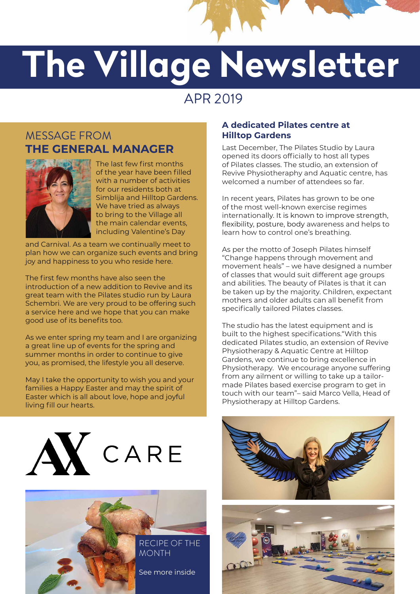

# **The Village Newsletter Newsletter**

## APR 2019

### MESSAGE FROM **THE GENERAL MANAGER**



The last few first months of the year have been filled with a number of activities for our residents both at Simblija and Hilltop Gardens. We have tried as always to bring to the Village all the main calendar events, including Valentine's Day

and Carnival. As a team we continually meet to plan how we can organize such events and bring joy and happiness to you who reside here.

The first few months have also seen the introduction of a new addition to Revive and its great team with the Pilates studio run by Laura Schembri. We are very proud to be offering such a service here and we hope that you can make good use of its benefits too.

As we enter spring my team and I are organizing a great line up of events for the spring and summer months in order to continue to give you, as promised, the lifestyle you all deserve.

May I take the opportunity to wish you and your families a Happy Easter and may the spirit of Easter which is all about love, hope and joyful living fill our hearts.





#### **A dedicated Pilates centre at Hilltop Gardens**

Last December, The Pilates Studio by Laura opened its doors officially to host all types of Pilates classes. The studio, an extension of Revive Physiotheraphy and Aquatic centre, has welcomed a number of attendees so far.

In recent years, Pilates has grown to be one of the most well-known exercise regimes internationally. It is known to improve strength, flexibility, posture, body awareness and helps to learn how to control one's breathing.

As per the motto of Joseph Pilates himself "Change happens through movement and movement heals" – we have designed a number of classes that would suit different age groups and abilities. The beauty of Pilates is that it can be taken up by the majority. Children, expectant mothers and older adults can all benefit from specifically tailored Pilates classes.

The studio has the latest equipment and is built to the highest specifications."With this dedicated Pilates studio, an extension of Revive Physiotherapy & Aquatic Centre at Hilltop Gardens, we continue to bring excellence in Physiotherapy. We encourage anyone suffering from any ailment or willing to take up a tailormade Pilates based exercise program to get in touch with our team"– said Marco Vella, Head of Physiotherapy at Hilltop Gardens.



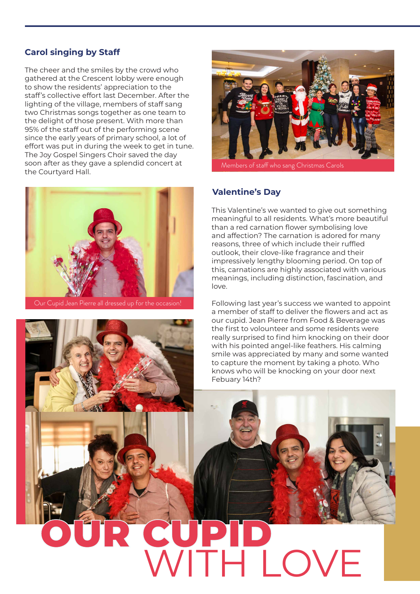#### **Carol singing by Staff**

The cheer and the smiles by the crowd who gathered at the Crescent lobby were enough to show the residents' appreciation to the staff's collective effort last December. After the lighting of the village, members of staff sang two Christmas songs together as one team to the delight of those present. With more than 95% of the staff out of the performing scene since the early years of primary school, a lot of effort was put in during the week to get in tune. The Joy Gospel Singers Choir saved the day soon after as they gave a splendid concert at the Courtyard Hall.





Members of staff who sang Christmas Carols

#### **Valentine's Day**

This Valentine's we wanted to give out something meaningful to all residents. What's more beautiful than a red carnation flower symbolising love and affection? The carnation is adored for many reasons, three of which include their ruffled outlook, their clove-like fragrance and their impressively lengthy blooming period. On top of this, carnations are highly associated with various meanings, including distinction, fascination, and love.

Following last year's success we wanted to appoint a member of staff to deliver the flowers and act as our cupid. Jean Pierre from Food & Beverage was the first to volounteer and some residents were really surprised to find him knocking on their door with his pointed angel-like feathers. His calming smile was appreciated by many and some wanted to capture the moment by taking a photo. Who knows who will be knocking on your door next Febuary 14th?

## **CUP HLOVE**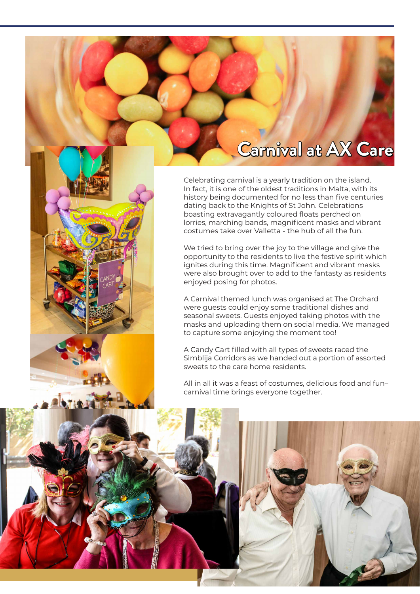## **Carnival at AX Care**

Celebrating carnival is a yearly tradition on the island. In fact, it is one of the oldest traditions in Malta, with its history being documented for no less than five centuries dating back to the Knights of St John. Celebrations boasting extravagantly coloured floats perched on lorries, marching bands, magnificent masks and vibrant costumes take over Valletta - the hub of all the fun.

We tried to bring over the joy to the village and give the opportunity to the residents to live the festive spirit which ignites during this time. Magnificent and vibrant masks were also brought over to add to the fantasty as residents enjoyed posing for photos.

A Carnival themed lunch was organised at The Orchard were guests could enjoy some traditional dishes and seasonal sweets. Guests enjoyed taking photos with the masks and uploading them on social media. We managed to capture some enjoying the moment too!

A Candy Cart filled with all types of sweets raced the Simblija Corridors as we handed out a portion of assorted sweets to the care home residents.

All in all it was a feast of costumes, delicious food and fun– carnival time brings everyone together.